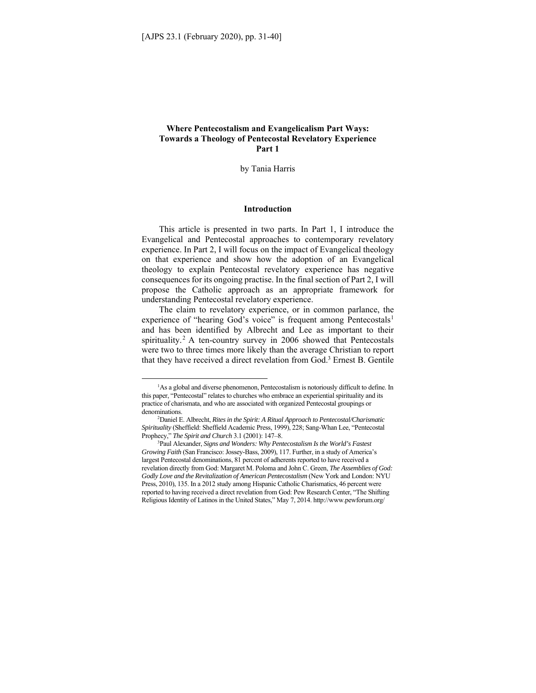# **Where Pentecostalism and Evangelicalism Part Ways: Towards a Theology of Pentecostal Revelatory Experience Part 1**

by Tania Harris

#### **Introduction**

This article is presented in two parts. In Part 1, I introduce the Evangelical and Pentecostal approaches to contemporary revelatory experience. In Part 2, I will focus on the impact of Evangelical theology on that experience and show how the adoption of an Evangelical theology to explain Pentecostal revelatory experience has negative consequences for its ongoing practise. In the final section of Part 2, I will propose the Catholic approach as an appropriate framework for understanding Pentecostal revelatory experience.

The claim to revelatory experience, or in common parlance, the experience of "hearing God's voice" is frequent among Pentecostals<sup>1</sup> and has been identified by Albrecht and Lee as important to their spirituality.<sup>2</sup> A ten-country survey in 2006 showed that Pentecostals were two to three times more likely than the average Christian to report that they have received a direct revelation from God.3 Ernest B. Gentile

<sup>&</sup>lt;sup>1</sup>As a global and diverse phenomenon, Pentecostalism is notoriously difficult to define. In this paper, "Pentecostal" relates to churches who embrace an experiential spirituality and its practice of charismata, and who are associated with organized Pentecostal groupings or denominations.

Daniel E. Albrecht, *Rites in the Spirit: A Ritual Approach to Pentecostal/Charismatic Spirituality* (Sheffield: Sheffield Academic Press, 1999), 228; Sang-Whan Lee, "Pentecostal Prophecy," *The Spirit and Church* 3.1 (2001): 147–8. 3

Paul Alexander, *Signs and Wonders: Why Pentecostalism Is the World's Fastest Growing Faith* (San Francisco: Jossey-Bass, 2009), 117. Further, in a study of America's largest Pentecostal denominations, 81 percent of adherents reported to have received a revelation directly from God: Margaret M. Poloma and John C. Green, *The Assemblies of God: Godly Love and the Revitalization of American Pentecostalism* (New York and London: NYU Press, 2010), 135. In a 2012 study among Hispanic Catholic Charismatics, 46 percent were reported to having received a direct revelation from God: Pew Research Center, "The Shifting Religious Identity of Latinos in the United States," May 7, 2014. http://www.pewforum.org/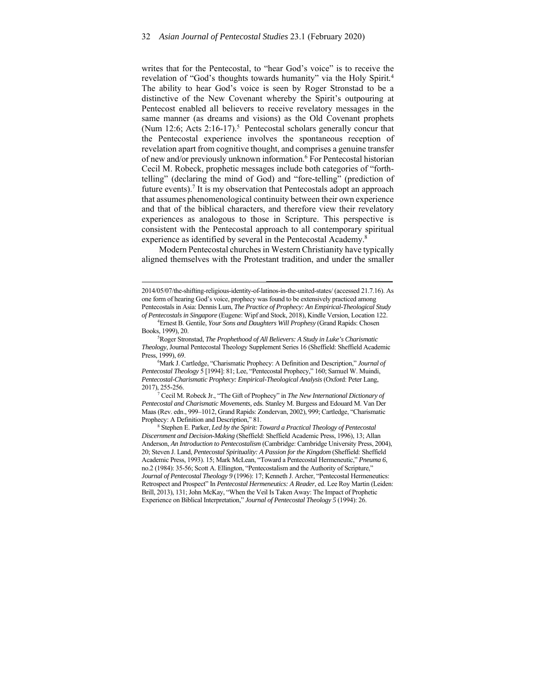writes that for the Pentecostal, to "hear God's voice" is to receive the revelation of "God's thoughts towards humanity" via the Holy Spirit*.* 4 The ability to hear God's voice is seen by Roger Stronstad to be a distinctive of the New Covenant whereby the Spirit's outpouring at Pentecost enabled all believers to receive revelatory messages in the same manner (as dreams and visions) as the Old Covenant prophets (Num 12:6; Acts  $2:16-17$ ).<sup>5</sup> Pentecostal scholars generally concur that the Pentecostal experience involves the spontaneous reception of revelation apart from cognitive thought, and comprises a genuine transfer of new and/or previously unknown information.<sup>6</sup> For Pentecostal historian Cecil M. Robeck, prophetic messages include both categories of "forthtelling" (declaring the mind of God) and "fore-telling" (prediction of future events).<sup>7</sup> It is my observation that Pentecostals adopt an approach that assumes phenomenological continuity between their own experience and that of the biblical characters, and therefore view their revelatory experiences as analogous to those in Scripture. This perspective is consistent with the Pentecostal approach to all contemporary spiritual experience as identified by several in the Pentecostal Academy.<sup>8</sup>

Modern Pentecostal churches in Western Christianity have typically aligned themselves with the Protestant tradition, and under the smaller

Mark J. Cartledge, "Charismatic Prophecy: A Definition and Description," *Journal of Pentecostal Theology* 5 [1994]: 81; Lee, "Pentecostal Prophecy," 160; Samuel W. Muindi, *Pentecostal-Charismatic Prophecy: Empirical-Theological Analysis* (Oxford: Peter Lang, 2017), 255-256.

7 Cecil M. Robeck Jr., "The Gift of Prophecy" in *The New International Dictionary of Pentecostal and Charismatic Movements,* eds. Stanley M. Burgess and Edouard M. Van Der Maas (Rev. edn., 999–1012, Grand Rapids: Zondervan, 2002), 999; Cartledge, "Charismatic Prophecy: A Definition and Description," 81.

 Stephen E. Parker, *Led by the Spirit: Toward a Practical Theology of Pentecostal Discernment and Decision-Making* (Sheffield: Sheffield Academic Press, 1996), 13; Allan Anderson, *An Introduction to Pentecostalism* (Cambridge: Cambridge University Press, 2004), 20; Steven J. Land, *Pentecostal Spirituality: A Passion for the Kingdom* (Sheffield: Sheffield Academic Press, 1993). 15; Mark McLean, "Toward a Pentecostal Hermeneutic," *Pneuma 6*, no.2 (1984): 35-56; Scott A. Ellington, "Pentecostalism and the Authority of Scripture," *Journal of Pentecostal Theology 9* (1996): 17; Kenneth J. Archer, "Pentecostal Hermeneutics: Retrospect and Prospect" In *Pentecostal Hermeneutics: A Reader*, ed. Lee Roy Martin (Leiden: Brill, 2013), 131; John McKay, "When the Veil Is Taken Away: The Impact of Prophetic Experience on Biblical Interpretation," *Journal of Pentecostal Theology 5* (1994): 26.

<sup>2014/05/07/</sup>the-shifting-religious-identity-of-latinos-in-the-united-states/ (accessed 21.7.16). As one form of hearing God's voice, prophecy was found to be extensively practiced among Pentecostals in Asia: Dennis Lum, *The Practice of Prophecy: An Empirical-Theological Study of Pentecostals in Singapore* (Eugene: Wipf and Stock, 2018), Kindle Version, Location 122. 4

Ernest B. Gentile, *Your Sons and Daughters Will Prophesy* (Grand Rapids: Chosen Books, 1999), 20. 5

Roger Stronstad, *The Prophethood of All Believers: A Study in Luke's Charismatic Theology*, Journal Pentecostal Theology Supplement Series 16 (Sheffield: Sheffield Academic Press, 1999), 69.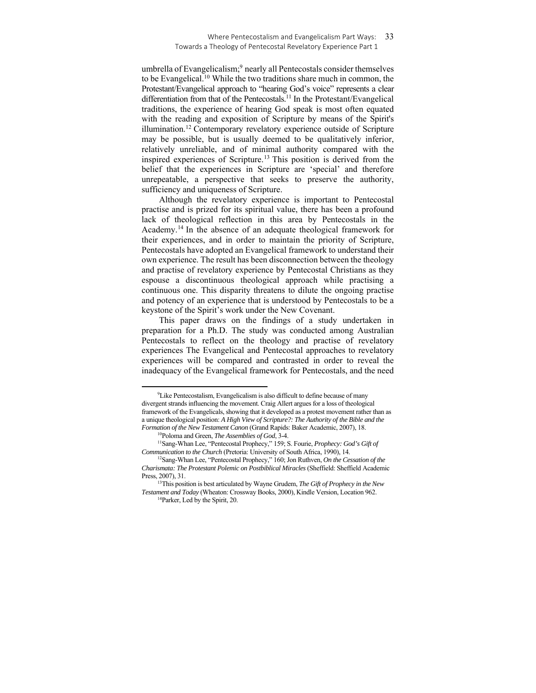umbrella of Evangelicalism;<sup>9</sup> nearly all Pentecostals consider themselves to be Evangelical.10 While the two traditions share much in common, the Protestant/Evangelical approach to "hearing God's voice" represents a clear differentiation from that of the Pentecostals.<sup>11</sup> In the Protestant/Evangelical traditions, the experience of hearing God speak is most often equated with the reading and exposition of Scripture by means of the Spirit's illumination.12 Contemporary revelatory experience outside of Scripture may be possible, but is usually deemed to be qualitatively inferior, relatively unreliable, and of minimal authority compared with the inspired experiences of Scripture.13 This position is derived from the belief that the experiences in Scripture are 'special' and therefore unrepeatable, a perspective that seeks to preserve the authority, sufficiency and uniqueness of Scripture.

Although the revelatory experience is important to Pentecostal practise and is prized for its spiritual value, there has been a profound lack of theological reflection in this area by Pentecostals in the Academy.14 In the absence of an adequate theological framework for their experiences, and in order to maintain the priority of Scripture, Pentecostals have adopted an Evangelical framework to understand their own experience. The result has been disconnection between the theology and practise of revelatory experience by Pentecostal Christians as they espouse a discontinuous theological approach while practising a continuous one. This disparity threatens to dilute the ongoing practise and potency of an experience that is understood by Pentecostals to be a keystone of the Spirit's work under the New Covenant.

This paper draws on the findings of a study undertaken in preparation for a Ph.D. The study was conducted among Australian Pentecostals to reflect on the theology and practise of revelatory experiences The Evangelical and Pentecostal approaches to revelatory experiences will be compared and contrasted in order to reveal the inadequacy of the Evangelical framework for Pentecostals, and the need

<sup>&</sup>lt;sup>9</sup>Like Pentecostalism, Evangelicalism is also difficult to define because of many divergent strands influencing the movement. Craig Allert argues for a loss of theological framework of the Evangelicals, showing that it developed as a protest movement rather than as a unique theological position: *A High View of Scripture?: The Authority of the Bible and the* 

<sup>&</sup>lt;sup>10</sup>Poloma and Green, *The Assemblies of God*, 3-4.<br><sup>11</sup>Sang-Whan Lee, "Pentecostal Prophecy," 159; S. Fourie, *Prophecy: God's Gift of Communication to the Church* (Pretoria: University of South Africa, 1990), 14.<br><sup>12</sup>Sang-Whan Lee, "Pentecostal Prophecy," 160; Jon Ruthven, *On the Cessation of the* 

*Charismata: The Protestant Polemic on Postbiblical Miracles* (Sheffield: Sheffield Academic Press, 2007), 31.

<sup>13</sup>This position is best articulated by Wayne Grudem, *The Gift of Prophecy in the New Testament and Today* (Wheaton: Crossway Books, 2000), Kindle Version, Location 962.<br><sup>14</sup>Parker, Led by the Spirit, 20.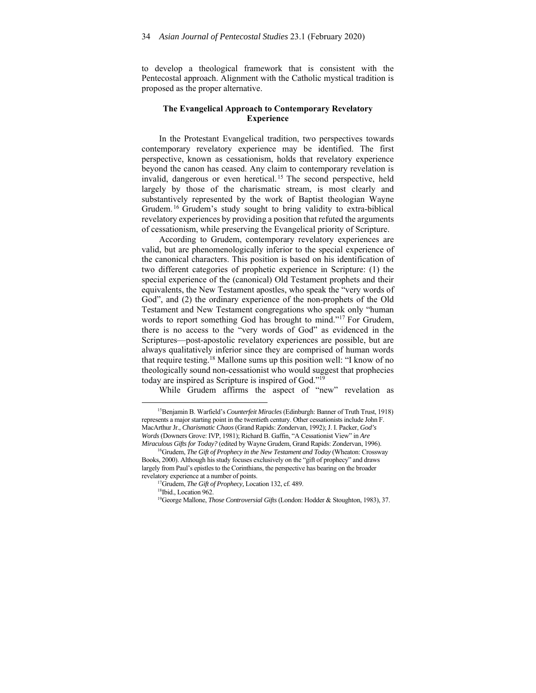to develop a theological framework that is consistent with the Pentecostal approach. Alignment with the Catholic mystical tradition is proposed as the proper alternative.

## **The Evangelical Approach to Contemporary Revelatory Experience**

In the Protestant Evangelical tradition, two perspectives towards contemporary revelatory experience may be identified. The first perspective, known as cessationism, holds that revelatory experience beyond the canon has ceased. Any claim to contemporary revelation is invalid, dangerous or even heretical. 15 The second perspective, held largely by those of the charismatic stream, is most clearly and substantively represented by the work of Baptist theologian Wayne Grudem. 16 Grudem's study sought to bring validity to extra-biblical revelatory experiences by providing a position that refuted the arguments of cessationism, while preserving the Evangelical priority of Scripture.

According to Grudem, contemporary revelatory experiences are valid, but are phenomenologically inferior to the special experience of the canonical characters. This position is based on his identification of two different categories of prophetic experience in Scripture: (1) the special experience of the (canonical) Old Testament prophets and their equivalents, the New Testament apostles, who speak the "very words of God", and (2) the ordinary experience of the non-prophets of the Old Testament and New Testament congregations who speak only "human words to report something God has brought to mind."<sup>17</sup> For Grudem, there is no access to the "very words of God" as evidenced in the Scriptures—post-apostolic revelatory experiences are possible, but are always qualitatively inferior since they are comprised of human words that require testing.18 Mallone sums up this position well: "I know of no theologically sound non-cessationist who would suggest that prophecies today are inspired as Scripture is inspired of God."19

While Grudem affirms the aspect of "new" revelation as

<sup>15</sup>Benjamin B. Warfield's *Counterfeit Miracles* (Edinburgh: Banner of Truth Trust, 1918) represents a major starting point in the twentieth century. Other cessationists include John F. MacArthur Jr., *Charismatic Chaos* (Grand Rapids: Zondervan, 1992); J. I. Packer, *God's Words* (Downers Grove: IVP, 1981); Richard B. Gaffin, "A Cessationist View" in *Are* 

*Miraculous Gifts for Today?* (edited by Wayne Grudem, Grand Rapids: Zondervan, 1996). 16Grudem, *The Gift of Prophecy in the New Testament and Today* (Wheaton: Crossway Books, 2000). Although his study focuses exclusively on the "gift of prophecy" and draws largely from Paul's epistles to the Corinthians, the perspective has bearing on the broader revelatory experience at a number of points.<br><sup>17</sup>Grudem, *The Gift of Prophecy*, Location 132, cf. 489.<br><sup>18</sup>Ibid., Location 962.

<sup>19</sup>George Mallone, *Those Controversial Gifts* (London: Hodder & Stoughton, 1983), 37.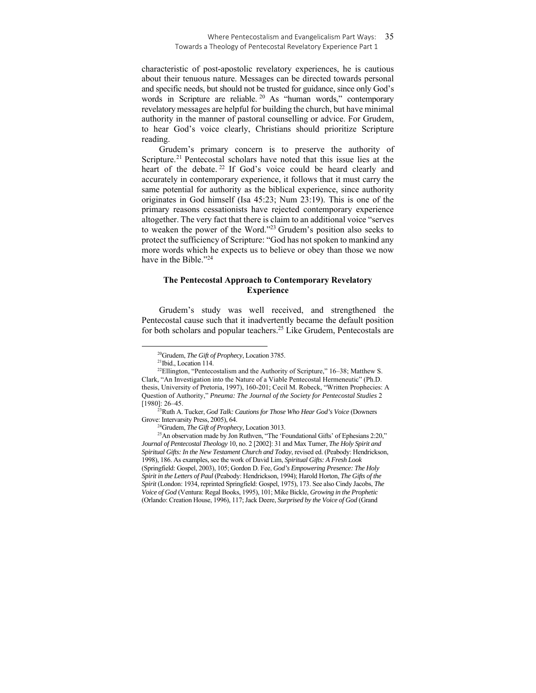characteristic of post-apostolic revelatory experiences, he is cautious about their tenuous nature. Messages can be directed towards personal and specific needs, but should not be trusted for guidance, since only God's words in Scripture are reliable. <sup>20</sup> As "human words," contemporary revelatory messages are helpful for building the church, but have minimal authority in the manner of pastoral counselling or advice. For Grudem, to hear God's voice clearly, Christians should prioritize Scripture reading.

Grudem's primary concern is to preserve the authority of Scripture.<sup>21</sup> Pentecostal scholars have noted that this issue lies at the heart of the debate.<sup>22</sup> If God's voice could be heard clearly and accurately in contemporary experience, it follows that it must carry the same potential for authority as the biblical experience, since authority originates in God himself (Isa 45:23; Num 23:19). This is one of the primary reasons cessationists have rejected contemporary experience altogether. The very fact that there is claim to an additional voice "serves to weaken the power of the Word."23 Grudem's position also seeks to protect the sufficiency of Scripture: "God has not spoken to mankind any more words which he expects us to believe or obey than those we now have in the Bible."<sup>24</sup>

## **The Pentecostal Approach to Contemporary Revelatory Experience**

Grudem's study was well received, and strengthened the Pentecostal cause such that it inadvertently became the default position for both scholars and popular teachers.<sup>25</sup> Like Grudem, Pentecostals are

[1980]: 26–45. 23Ruth A. Tucker, *God Talk: Cautions for Those Who Hear God's Voice* (Downers

<sup>&</sup>lt;sup>20</sup>Grudem, *The Gift of Prophecy*, Location 3785.<br><sup>21</sup>Ibid., Location 114.

<sup>&</sup>lt;sup>22</sup>Ellington, "Pentecostalism and the Authority of Scripture," 16-38; Matthew S. Clark, "An Investigation into the Nature of a Viable Pentecostal Hermeneutic" (Ph.D. thesis, University of Pretoria, 1997), 160-201; Cecil M. Robeck, "Written Prophecies: A Question of Authority," *Pneuma: The Journal of the Society for Pentecostal Studies* 2

Grove: Intervarsity Press, 2005), 64.<br><sup>24</sup>Grudem, *The Gift of Prophecy*, Location 3013.<br><sup>25</sup>An observation made by Jon Ruthven, "The 'Foundational Gifts' of Ephesians 2:20," *Journal of Pentecostal Theology* 10, no. 2 [2002]: 31 and Max Turner, *The Holy Spirit and Spiritual Gifts: In the New Testament Church and Today*, revised ed. (Peabody: Hendrickson, 1998), 186. As examples, see the work of David Lim, *Spiritual Gifts: A Fresh Look* (Springfield: Gospel, 2003), 105; Gordon D. Fee, *God's Empowering Presence: The Holy Spirit in the Letters of Paul* (Peabody: Hendrickson, 1994); Harold Horton, *The Gifts of the Spirit* (London: 1934, reprinted Springfield: Gospel, 1975), 173. See also Cindy Jacobs, *The Voice of God* (Ventura: Regal Books, 1995), 101; Mike Bickle, *Growing in the Prophetic* (Orlando: Creation House, 1996), 117; Jack Deere, *Surprised by the Voice of God* (Grand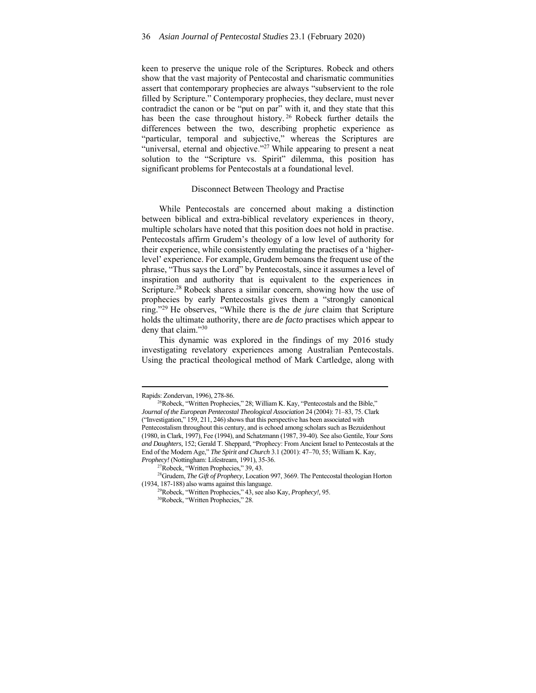keen to preserve the unique role of the Scriptures. Robeck and others show that the vast majority of Pentecostal and charismatic communities assert that contemporary prophecies are always "subservient to the role filled by Scripture." Contemporary prophecies, they declare, must never contradict the canon or be "put on par" with it, and they state that this has been the case throughout history.<sup>26</sup> Robeck further details the differences between the two, describing prophetic experience as "particular, temporal and subjective," whereas the Scriptures are "universal, eternal and objective."<sup>27</sup> While appearing to present a neat solution to the "Scripture vs. Spirit" dilemma, this position has significant problems for Pentecostals at a foundational level.

#### Disconnect Between Theology and Practise

While Pentecostals are concerned about making a distinction between biblical and extra-biblical revelatory experiences in theory, multiple scholars have noted that this position does not hold in practise. Pentecostals affirm Grudem's theology of a low level of authority for their experience, while consistently emulating the practises of a 'higherlevel' experience. For example, Grudem bemoans the frequent use of the phrase, "Thus says the Lord" by Pentecostals, since it assumes a level of inspiration and authority that is equivalent to the experiences in Scripture.<sup>28</sup> Robeck shares a similar concern, showing how the use of prophecies by early Pentecostals gives them a "strongly canonical ring."29 He observes, "While there is the *de jure* claim that Scripture holds the ultimate authority, there are *de facto* practises which appear to deny that claim."30

This dynamic was explored in the findings of my 2016 study investigating revelatory experiences among Australian Pentecostals. Using the practical theological method of Mark Cartledge, along with

Rapids: Zondervan, 1996), 278-86.<br><sup>26</sup>Robeck, "Written Prophecies," 28; William K. Kay, "Pentecostals and the Bible," *Journal of the European Pentecostal Theological Association* 24 (2004): 71–83, 75. Clark ("Investigation," 159, 211, 246) shows that this perspective has been associated with Pentecostalism throughout this century, and is echoed among scholars such as Bezuidenhout (1980, in Clark, 1997), Fee (1994), and Schatzmann (1987, 39-40). See also Gentile, *Your Sons and Daughters,* 152; Gerald T. Sheppard, "Prophecy: From Ancient Israel to Pentecostals at the End of the Modern Age," *The Spirit and Church* 3.1 (2001): 47–70, 55; William K. Kay, *Prophecy!* (Nottingham: Lifestream, 1991), 35-36.<br><sup>27</sup>Robeck, "Written Prophecies," 39, 43.

<sup>28</sup>Grudem, *The Gift of Prophecy*, Location 997, 3669. The Pentecostal theologian Horton

<sup>(1934, 187-188)</sup> also warns against this language. 29Robeck, "Written Prophecies," 43, see also Kay, *Prophecy!,* 95. 30Robeck, "Written Prophecies," 28.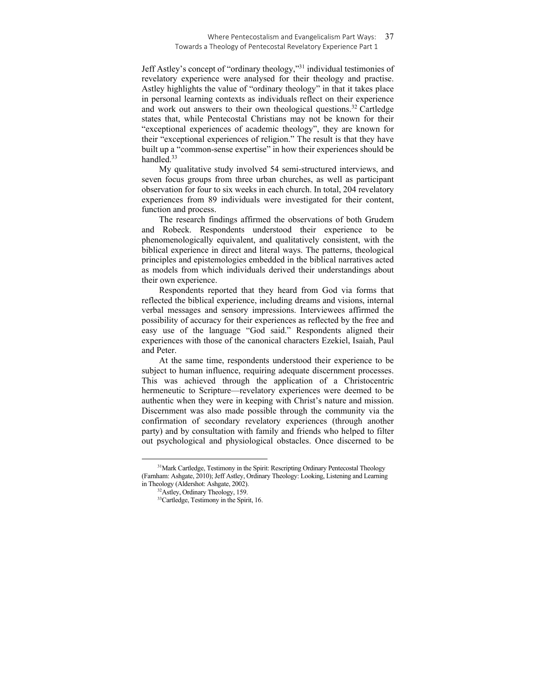#### Where Pentecostalism and Evangelicalism Part Ways: 37 Towards a Theology of Pentecostal Revelatory Experience Part 1

Jeff Astley's concept of "ordinary theology,"31 individual testimonies of revelatory experience were analysed for their theology and practise. Astley highlights the value of "ordinary theology" in that it takes place in personal learning contexts as individuals reflect on their experience and work out answers to their own theological questions.32 Cartledge states that, while Pentecostal Christians may not be known for their "exceptional experiences of academic theology", they are known for their "exceptional experiences of religion." The result is that they have built up a "common-sense expertise" in how their experiences should be handled.33

My qualitative study involved 54 semi-structured interviews, and seven focus groups from three urban churches, as well as participant observation for four to six weeks in each church. In total, 204 revelatory experiences from 89 individuals were investigated for their content, function and process.

The research findings affirmed the observations of both Grudem and Robeck. Respondents understood their experience to be phenomenologically equivalent, and qualitatively consistent, with the biblical experience in direct and literal ways. The patterns, theological principles and epistemologies embedded in the biblical narratives acted as models from which individuals derived their understandings about their own experience.

Respondents reported that they heard from God via forms that reflected the biblical experience, including dreams and visions, internal verbal messages and sensory impressions. Interviewees affirmed the possibility of accuracy for their experiences as reflected by the free and easy use of the language "God said." Respondents aligned their experiences with those of the canonical characters Ezekiel, Isaiah, Paul and Peter.

At the same time, respondents understood their experience to be subject to human influence, requiring adequate discernment processes. This was achieved through the application of a Christocentric hermeneutic to Scripture—revelatory experiences were deemed to be authentic when they were in keeping with Christ's nature and mission. Discernment was also made possible through the community via the confirmation of secondary revelatory experiences (through another party) and by consultation with family and friends who helped to filter out psychological and physiological obstacles. Once discerned to be

<sup>&</sup>lt;sup>31</sup>Mark Cartledge, Testimony in the Spirit: Rescripting Ordinary Pentecostal Theology (Farnham: Ashgate, 2010); Jeff Astley, Ordinary Theology: Looking, Listening and Learning in Theology (Aldershot: Ashgate, 2002). 32Astley, Ordinary Theology, 159.

<sup>&</sup>lt;sup>33</sup>Cartledge, Testimony in the Spirit, 16.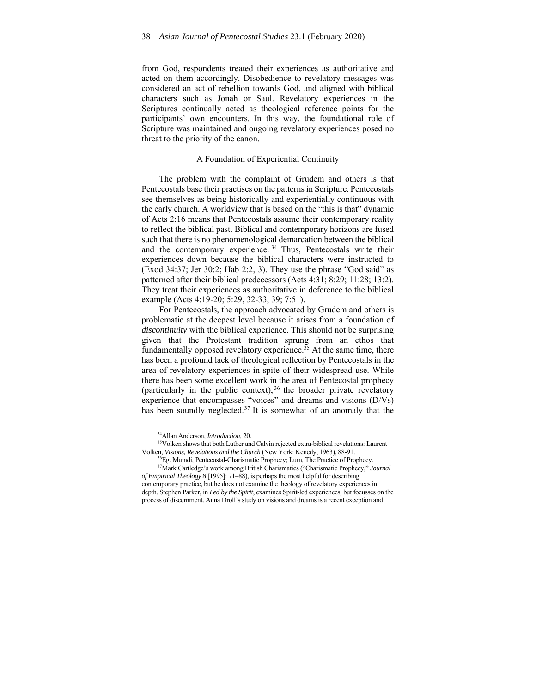from God, respondents treated their experiences as authoritative and acted on them accordingly. Disobedience to revelatory messages was considered an act of rebellion towards God, and aligned with biblical characters such as Jonah or Saul. Revelatory experiences in the Scriptures continually acted as theological reference points for the participants' own encounters. In this way, the foundational role of Scripture was maintained and ongoing revelatory experiences posed no threat to the priority of the canon.

## A Foundation of Experiential Continuity

The problem with the complaint of Grudem and others is that Pentecostals base their practises on the patterns in Scripture. Pentecostals see themselves as being historically and experientially continuous with the early church. A worldview that is based on the "this is that" dynamic of Acts 2:16 means that Pentecostals assume their contemporary reality to reflect the biblical past. Biblical and contemporary horizons are fused such that there is no phenomenological demarcation between the biblical and the contemporary experience. 34 Thus, Pentecostals write their experiences down because the biblical characters were instructed to (Exod 34:37; Jer 30:2; Hab 2:2, 3). They use the phrase "God said" as patterned after their biblical predecessors (Acts 4:31; 8:29; 11:28; 13:2). They treat their experiences as authoritative in deference to the biblical example (Acts 4:19-20; 5:29, 32-33, 39; 7:51).

For Pentecostals, the approach advocated by Grudem and others is problematic at the deepest level because it arises from a foundation of *discontinuity* with the biblical experience. This should not be surprising given that the Protestant tradition sprung from an ethos that fundamentally opposed revelatory experience.<sup>35</sup> At the same time, there has been a profound lack of theological reflection by Pentecostals in the area of revelatory experiences in spite of their widespread use. While there has been some excellent work in the area of Pentecostal prophecy (particularly in the public context),  $36$  the broader private revelatory experience that encompasses "voices" and dreams and visions (D/Vs) has been soundly neglected.<sup>37</sup> It is somewhat of an anomaly that the

<sup>&</sup>lt;sup>34</sup>Allan Anderson, *Introduction*, 20.<br><sup>35</sup>Volken shows that both Luther and Calvin rejected extra-biblical revelations: Laurent

Volken, Visions, Revelations and the Church (New York: Kenedy, 1963), 88-91.<br><sup>36</sup>Eg. Muindi, Pentecostal-Charismatic Prophecy; Lum, The Practice of Prophecy.<br><sup>37</sup>Mark Cartledge's work among British Charismatics ("Charismat *of Empirical Theology 8* [1995]: 71–88), is perhaps the most helpful for describing contemporary practice, but he does not examine the theology of revelatory experiences in depth. Stephen Parker, in *Led by the Spirit*, examines Spirit-led experiences, but focusses on the process of discernment. Anna Droll's study on visions and dreams is a recent exception and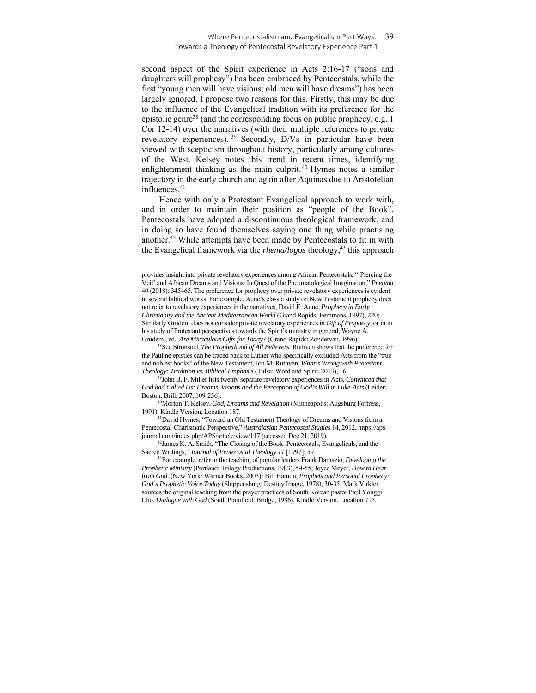second aspect of the Spirit experience in Acts 2:16-17 ("sons and daughters will prophesy") has been embraced by Pentecostals, while the first "young men will have visions; old men will have dreams") has been largely ignored. I propose two reasons for this. Firstly, this may be due to the influence of the Evangelical tradition with its preference for the epistolic genre<sup>38</sup> (and the corresponding focus on public prophecy, e.g. 1) Cor 12-14) over the narratives (with their multiple references to private revelatory experiences). 39 Secondly, D/Vs in particular have been viewed with scepticism throughout history, particularly among cultures of the West. Kelsey notes this trend in recent times, identifying enlightenment thinking as the main culprit.<sup>40</sup> Hymes notes a similar trajectory in the early church and again after Aquinas due to Aristotelian influences.<sup>41</sup>

Hence with only a Protestant Evangelical approach to work with, and in order to maintain their position as "people of the Book", Pentecostals have adopted a discontinuous theological framework, and in doing so have found themselves saying one thing while practising another.42 While attempts have been made by Pentecostals to fit in with the Evangelical framework via the *rhema/logos* theology,<sup>43</sup> this approach

Boston: Brill, 2007, 109-236).<br><sup>40</sup>Morton T. Kelsey, *God, Dreams and Revelation* (Minneapolis: Augsburg Fortress, 1991), Kindle Version, Location 187. 41David Hymes, "Toward an Old Testament Theology of Dreams and Visions from a

Pentecostal-Charismatic Perspective," *Australasian Pentecostal Studies* 14, 2012, https://apsjournal.com/index.php/APS/article/view/117 (accessed Dec 21, 2019). 42James K. A. Smith, "The Closing of the Book: Pentecostals, Evangelicals, and the

Sacred Writings," *Journal of Pentecostal Theology 11* [1997]: 59.<br><sup>43</sup>For example, refer to the teaching of popular leaders Frank Damazio, *Developing the* 

*Prophetic Ministry* (Portland: Trilogy Productions, 1983), 54-55; Joyce Meyer, *How to Hear from God*. (New York: Warner Books, 2003)*;* Bill Hamon, *Prophets and Personal Prophecy: God's Prophetic Voice Today* (Shippensburg: Destiny Image, 1978), 30-35; Mark Virkler sources the original teaching from the prayer practices of South Korean pastor Paul Yonggi Cho, *Dialogue with God* (South Plainfield: Bridge, 1986), Kindle Version, Location 715.

provides insight into private revelatory experiences among African Pentecostals, "'Piercing the Veil' and African Dreams and Visions: In Quest of the Pneumatological Imagination," *Pneuma* 40 (2018): 345–65. The preference for prophecy over private revelatory experiences is evident in several biblical works. For example, Aune's classic study on New Testament prophecy does not refer to revelatory experiences in the narratives, David E. Aune, *Prophecy in Early Christianity and the Ancient Mediterranean World* (Grand Rapids: Eerdmans, 1997), 220; Similarly Grudem does not consider private revelatory experiences in *Gift of Prophecy,* or in in his study of Protestant perspectives towards the Spirit's ministry in general, Wayne A.

Grudem., ed., *Are Miraculous Gifts for Today?* (Grand Rapids: Zondervan, 1996). 38See Stronstad, *The Prophethood of All Believers*. Ruthven shows that the preference for the Pauline epistles can be traced back to Luther who specifically excluded Acts from the "true and noblest books" of the New Testament, Jon M. Ruthven, *What's Wrong with Protestant* 

*Theology: Tradition vs. Biblical Emphasis* (Tulsa: Word and Spirit, 2013), 16. 39John B. F. Miller lists twenty separate revelatory experiences in Acts, *Convinced that God had Called Us: Dreams, Visions and the Perception of God's Will in Luke-Acts* (Leiden,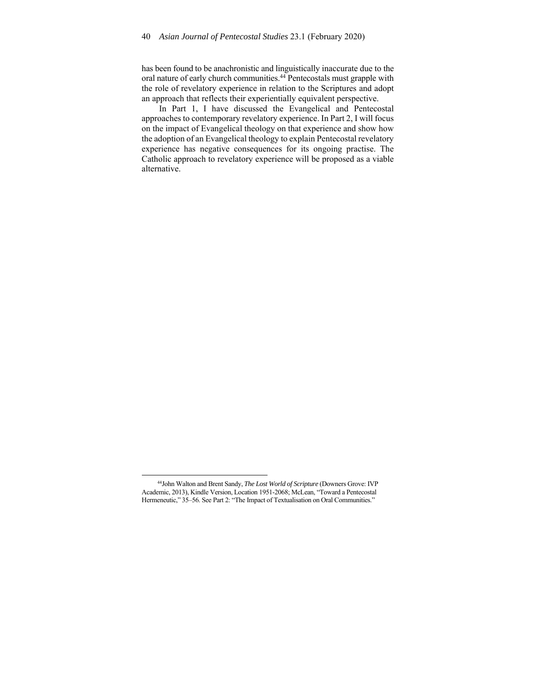has been found to be anachronistic and linguistically inaccurate due to the oral nature of early church communities.44 Pentecostals must grapple with the role of revelatory experience in relation to the Scriptures and adopt an approach that reflects their experientially equivalent perspective.

In Part 1, I have discussed the Evangelical and Pentecostal approaches to contemporary revelatory experience. In Part 2, I will focus on the impact of Evangelical theology on that experience and show how the adoption of an Evangelical theology to explain Pentecostal revelatory experience has negative consequences for its ongoing practise. The Catholic approach to revelatory experience will be proposed as a viable alternative.

<sup>44</sup>John Walton and Brent Sandy, *The Lost World of Scripture* (Downers Grove: IVP Academic, 2013), Kindle Version, Location 1951-2068; McLean, "Toward a Pentecostal Hermeneutic," 35–56. See Part 2: "The Impact of Textualisation on Oral Communities."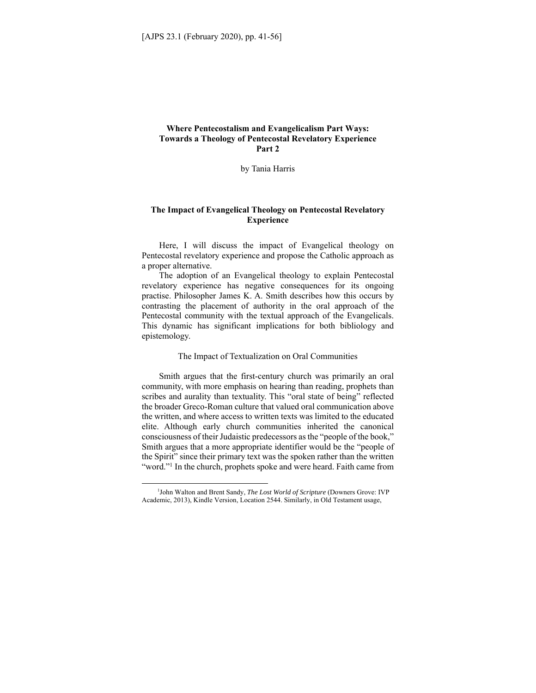# **Where Pentecostalism and Evangelicalism Part Ways: Towards a Theology of Pentecostal Revelatory Experience Part 2**

by Tania Harris

## **The Impact of Evangelical Theology on Pentecostal Revelatory Experience**

Here, I will discuss the impact of Evangelical theology on Pentecostal revelatory experience and propose the Catholic approach as a proper alternative.

The adoption of an Evangelical theology to explain Pentecostal revelatory experience has negative consequences for its ongoing practise. Philosopher James K. A. Smith describes how this occurs by contrasting the placement of authority in the oral approach of the Pentecostal community with the textual approach of the Evangelicals. This dynamic has significant implications for both bibliology and epistemology.

#### The Impact of Textualization on Oral Communities

Smith argues that the first-century church was primarily an oral community, with more emphasis on hearing than reading, prophets than scribes and aurality than textuality. This "oral state of being" reflected the broader Greco-Roman culture that valued oral communication above the written, and where access to written texts was limited to the educated elite. Although early church communities inherited the canonical consciousness of their Judaistic predecessors as the "people of the book," Smith argues that a more appropriate identifier would be the "people of the Spirit" since their primary text was the spoken rather than the written "word."<sup>1</sup> In the church, prophets spoke and were heard. Faith came from

<sup>1</sup> John Walton and Brent Sandy, *The Lost World of Scripture* (Downers Grove: IVP Academic, 2013), Kindle Version, Location 2544. Similarly, in Old Testament usage,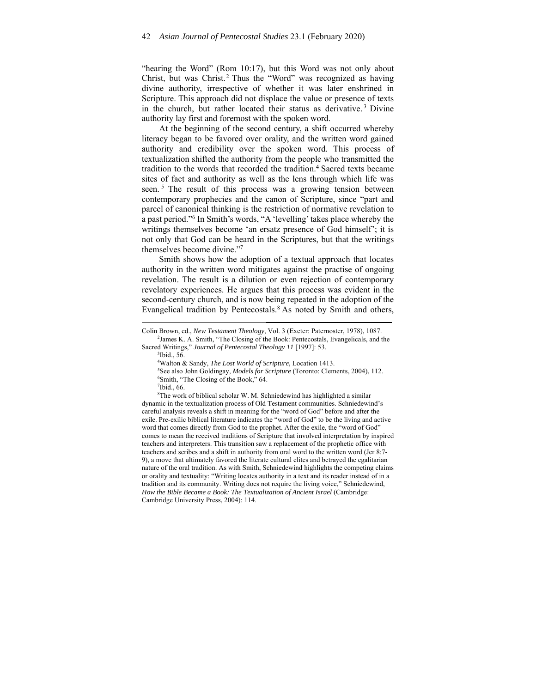"hearing the Word" (Rom 10:17), but this Word was not only about Christ, but was Christ.<sup>2</sup> Thus the "Word" was recognized as having divine authority, irrespective of whether it was later enshrined in Scripture. This approach did not displace the value or presence of texts in the church, but rather located their status as derivative.<sup>3</sup> Divine authority lay first and foremost with the spoken word.

At the beginning of the second century, a shift occurred whereby literacy began to be favored over orality, and the written word gained authority and credibility over the spoken word. This process of textualization shifted the authority from the people who transmitted the tradition to the words that recorded the tradition.<sup>4</sup> Sacred texts became sites of fact and authority as well as the lens through which life was seen.<sup>5</sup> The result of this process was a growing tension between contemporary prophecies and the canon of Scripture, since "part and parcel of canonical thinking is the restriction of normative revelation to a past period."6 In Smith's words, "A 'levelling' takes place whereby the writings themselves become 'an ersatz presence of God himself'; it is not only that God can be heard in the Scriptures, but that the writings themselves become divine."7

Smith shows how the adoption of a textual approach that locates authority in the written word mitigates against the practise of ongoing revelation. The result is a dilution or even rejection of contemporary revelatory experiences. He argues that this process was evident in the second-century church, and is now being repeated in the adoption of the Evangelical tradition by Pentecostals.<sup>8</sup> As noted by Smith and others,

 $3$ Ibid., 56.

 $7$ Ibid., 66.

<sup>8</sup>The work of biblical scholar W. M. Schniedewind has highlighted a similar dynamic in the textualization process of Old Testament communities. Schniedewind's careful analysis reveals a shift in meaning for the "word of God" before and after the exile. Pre-exilic biblical literature indicates the "word of God" to be the living and active word that comes directly from God to the prophet. After the exile, the "word of God" comes to mean the received traditions of Scripture that involved interpretation by inspired teachers and interpreters. This transition saw a replacement of the prophetic office with teachers and scribes and a shift in authority from oral word to the written word (Jer 8:7- 9), a move that ultimately favored the literate cultural elites and betrayed the egalitarian nature of the oral tradition. As with Smith, Schniedewind highlights the competing claims or orality and textuality: "Writing locates authority in a text and its reader instead of in a tradition and its community. Writing does not require the living voice," Schniedewind, *How the Bible Became a Book: The Textualization of Ancient Israel* (Cambridge: Cambridge University Press, 2004): 114.

Colin Brown, ed., *New Testament Theology*, Vol. 3 (Exeter: Paternoster, 1978), 1087. 2 <sup>2</sup>James K. A. Smith, "The Closing of the Book: Pentecostals, Evangelicals, and the

Sacred Writings," Journal of Pentecostal Theology 11 [1997]: 53.

<sup>&</sup>lt;sup>4</sup>Walton & Sandy, *The Lost World of Scripture*, Location 1413.<br><sup>5</sup>See also John Goldingay, *Models for Scripture* (Toronto: Clam

<sup>&</sup>lt;sup>5</sup>See also John Goldingay, *Models for Scripture* (Toronto: Clements, 2004), 112.

Smith, "The Closing of the Book," 64.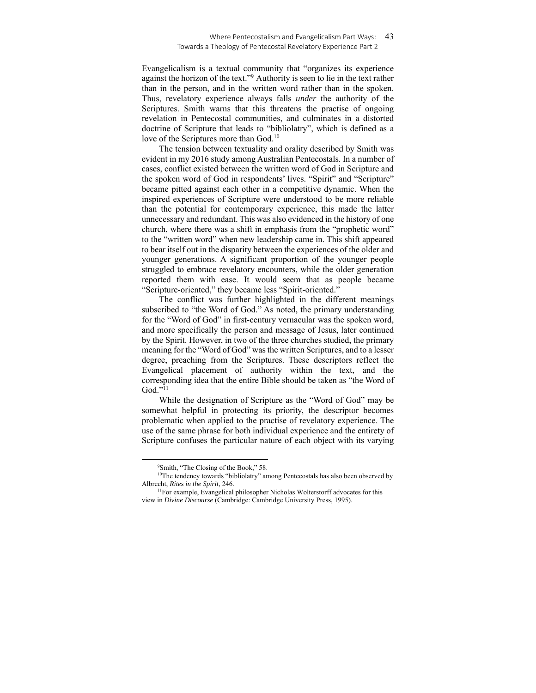#### Where Pentecostalism and Evangelicalism Part Ways: 43 Towards a Theology of Pentecostal Revelatory Experience Part 2

Evangelicalism is a textual community that "organizes its experience against the horizon of the text."9 Authority is seen to lie in the text rather than in the person, and in the written word rather than in the spoken. Thus, revelatory experience always falls *under* the authority of the Scriptures. Smith warns that this threatens the practise of ongoing revelation in Pentecostal communities, and culminates in a distorted doctrine of Scripture that leads to "bibliolatry", which is defined as a love of the Scriptures more than God.<sup>10</sup>

The tension between textuality and orality described by Smith was evident in my 2016 study among Australian Pentecostals. In a number of cases, conflict existed between the written word of God in Scripture and the spoken word of God in respondents' lives. "Spirit" and "Scripture" became pitted against each other in a competitive dynamic. When the inspired experiences of Scripture were understood to be more reliable than the potential for contemporary experience, this made the latter unnecessary and redundant. This was also evidenced in the history of one church, where there was a shift in emphasis from the "prophetic word" to the "written word" when new leadership came in. This shift appeared to bear itself out in the disparity between the experiences of the older and younger generations. A significant proportion of the younger people struggled to embrace revelatory encounters, while the older generation reported them with ease. It would seem that as people became "Scripture-oriented," they became less "Spirit-oriented."

The conflict was further highlighted in the different meanings subscribed to "the Word of God." As noted, the primary understanding for the "Word of God" in first-century vernacular was the spoken word, and more specifically the person and message of Jesus, later continued by the Spirit. However, in two of the three churches studied, the primary meaning for the "Word of God" was the written Scriptures, and to a lesser degree, preaching from the Scriptures. These descriptors reflect the Evangelical placement of authority within the text, and the corresponding idea that the entire Bible should be taken as "the Word of God."11

While the designation of Scripture as the "Word of God" may be somewhat helpful in protecting its priority, the descriptor becomes problematic when applied to the practise of revelatory experience. The use of the same phrase for both individual experience and the entirety of Scripture confuses the particular nature of each object with its varying

<sup>9</sup> Smith, "The Closing of the Book," 58.

<sup>&</sup>lt;sup>10</sup>The tendency towards "bibliolatry" among Pentecostals has also been observed by Albrecht, *Rites in the Spirit*, 246.<br><sup>11</sup>For example, Evangelical philosopher Nicholas Wolterstorff advocates for this

view in *Divine Discourse* (Cambridge: Cambridge University Press, 1995).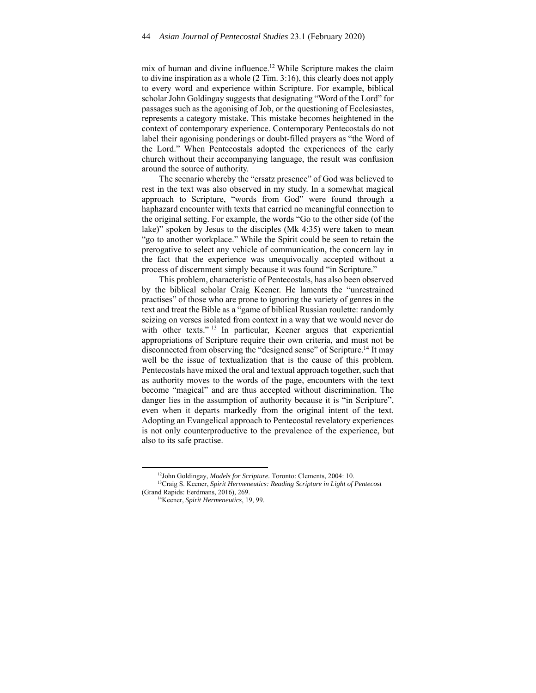mix of human and divine influence.<sup>12</sup> While Scripture makes the claim to divine inspiration as a whole (2 Tim. 3:16), this clearly does not apply to every word and experience within Scripture. For example, biblical scholar John Goldingay suggests that designating "Word of the Lord" for passages such as the agonising of Job, or the questioning of Ecclesiastes, represents a category mistake*.* This mistake becomes heightened in the context of contemporary experience. Contemporary Pentecostals do not label their agonising ponderings or doubt-filled prayers as "the Word of the Lord." When Pentecostals adopted the experiences of the early church without their accompanying language, the result was confusion around the source of authority.

The scenario whereby the "ersatz presence" of God was believed to rest in the text was also observed in my study. In a somewhat magical approach to Scripture, "words from God" were found through a haphazard encounter with texts that carried no meaningful connection to the original setting. For example, the words "Go to the other side (of the lake)" spoken by Jesus to the disciples (Mk 4:35) were taken to mean "go to another workplace." While the Spirit could be seen to retain the prerogative to select any vehicle of communication, the concern lay in the fact that the experience was unequivocally accepted without a process of discernment simply because it was found "in Scripture."

This problem, characteristic of Pentecostals, has also been observed by the biblical scholar Craig Keener. He laments the "unrestrained practises" of those who are prone to ignoring the variety of genres in the text and treat the Bible as a "game of biblical Russian roulette: randomly seizing on verses isolated from context in a way that we would never do with other texts."<sup>13</sup> In particular, Keener argues that experiential appropriations of Scripture require their own criteria, and must not be disconnected from observing the "designed sense" of Scripture.<sup>14</sup> It may well be the issue of textualization that is the cause of this problem. Pentecostals have mixed the oral and textual approach together, such that as authority moves to the words of the page, encounters with the text become "magical" and are thus accepted without discrimination. The danger lies in the assumption of authority because it is "in Scripture", even when it departs markedly from the original intent of the text. Adopting an Evangelical approach to Pentecostal revelatory experiences is not only counterproductive to the prevalence of the experience, but also to its safe practise.

<sup>&</sup>lt;sup>12</sup>John Goldingay, *Models for Scripture.* Toronto: Clements, 2004: 10.<br><sup>13</sup>Craig S. Keener, *Spirit Hermeneutics: Reading Scripture in Light of Pentecost* 

<sup>(</sup>Grand Rapids: Eerdmans, 2016), 269. 14Keener, *Spirit Hermeneutics*, 19, 99.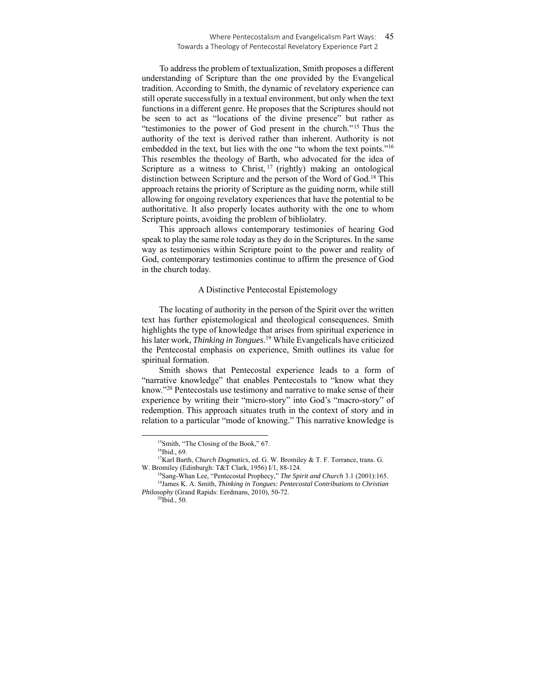#### Where Pentecostalism and Evangelicalism Part Ways: 45 Towards a Theology of Pentecostal Revelatory Experience Part 2

To address the problem of textualization, Smith proposes a different understanding of Scripture than the one provided by the Evangelical tradition. According to Smith, the dynamic of revelatory experience can still operate successfully in a textual environment, but only when the text functions in a different genre. He proposes that the Scriptures should not be seen to act as "locations of the divine presence" but rather as "testimonies to the power of God present in the church."15 Thus the authority of the text is derived rather than inherent. Authority is not embedded in the text, but lies with the one "to whom the text points."16 This resembles the theology of Barth, who advocated for the idea of Scripture as a witness to Christ,  $17$  (rightly) making an ontological distinction between Scripture and the person of the Word of God*.* 18 This approach retains the priority of Scripture as the guiding norm, while still allowing for ongoing revelatory experiences that have the potential to be authoritative. It also properly locates authority with the one to whom Scripture points, avoiding the problem of bibliolatry.

This approach allows contemporary testimonies of hearing God speak to play the same role today as they do in the Scriptures. In the same way as testimonies within Scripture point to the power and reality of God, contemporary testimonies continue to affirm the presence of God in the church today.

#### A Distinctive Pentecostal Epistemology

The locating of authority in the person of the Spirit over the written text has further epistemological and theological consequences. Smith highlights the type of knowledge that arises from spiritual experience in his later work, *Thinking in Tongues*. 19 While Evangelicals have criticized the Pentecostal emphasis on experience, Smith outlines its value for spiritual formation.

Smith shows that Pentecostal experience leads to a form of "narrative knowledge" that enables Pentecostals to "know what they know."20 Pentecostals use testimony and narrative to make sense of their experience by writing their "micro-story" into God's "macro-story" of redemption. This approach situates truth in the context of story and in relation to a particular "mode of knowing." This narrative knowledge is

<sup>15</sup>Smith, "The Closing of the Book," 67.

<sup>&</sup>lt;sup>16</sup>Ibid., 69.

<sup>17</sup>Karl Barth, *Church Dogmatics*, ed. G. W. Bromiley & T. F. Torrance, trans. G.

W. Bromiley (Edinburgh: T&T Clark, 1956) I/1, 88-124.<br><sup>18</sup>Sang-Whan Lee, "Pentecostal Prophecy," *The Spirit and Church* 3.1 (2001):165.<br><sup>19</sup>James K. A. Smith, *Thinking in Tongues: Pentecostal Contributions to Christian Philosophy* (Grand Rapids: Eerdmans, 2010), 50-72. 20Ibid., 50.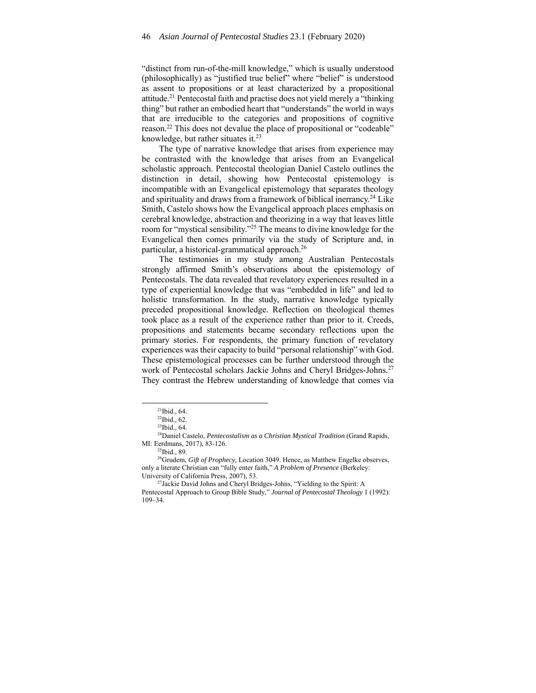"distinct from run-of-the-mill knowledge," which is usually understood (philosophically) as "justified true belief" where "belief" is understood as assent to propositions or at least characterized by a propositional attitude.<sup>21</sup> Pentecostal faith and practise does not yield merely a "thinking" thing" but rather an embodied heart that "understands" the world in ways that are irreducible to the categories and propositions of cognitive reason.22 This does not devalue the place of propositional or "codeable" knowledge, but rather situates it. $^{23}$ 

The type of narrative knowledge that arises from experience may be contrasted with the knowledge that arises from an Evangelical scholastic approach. Pentecostal theologian Daniel Castelo outlines the distinction in detail, showing how Pentecostal epistemology is incompatible with an Evangelical epistemology that separates theology and spirituality and draws from a framework of biblical inerrancy.24 Like Smith, Castelo shows how the Evangelical approach places emphasis on cerebral knowledge, abstraction and theorizing in a way that leaves little room for "mystical sensibility."25 The means to divine knowledge for the Evangelical then comes primarily via the study of Scripture and, in particular, a historical-grammatical approach.26

The testimonies in my study among Australian Pentecostals strongly affirmed Smith's observations about the epistemology of Pentecostals. The data revealed that revelatory experiences resulted in a type of experiential knowledge that was "embedded in life" and led to holistic transformation. In the study, narrative knowledge typically preceded propositional knowledge. Reflection on theological themes took place as a result of the experience rather than prior to it. Creeds, propositions and statements became secondary reflections upon the primary stories. For respondents, the primary function of revelatory experiences was their capacity to build "personal relationship" with God. These epistemological processes can be further understood through the work of Pentecostal scholars Jackie Johns and Cheryl Bridges-Johns*.* 27 They contrast the Hebrew understanding of knowledge that comes via

 $21$ Ibid., 64.

<sup>22</sup>Ibid., 62.

 $23$ Ibid., 64.

<sup>24</sup>Daniel Castelo, *Pentecostalism as a Christian Mystical Tradition* (Grand Rapids, MI: Eerdmans, 2017), 83-126. 25Ibid., 89.

<sup>&</sup>lt;sup>26</sup>Grudem, *Gift of Prophecy*, Location 3049. Hence, as Matthew Engelke observes, only a literate Christian can "fully enter faith," *A Problem of Presence* (Berkeley: University of California Press, 2007), 53.<br><sup>27</sup>Jackie David Johns and Cheryl Bridges-Johns, "Yielding to the Spirit: A

Pentecostal Approach to Group Bible Study," *Journal of Pentecostal Theology* 1 (1992): 109–34.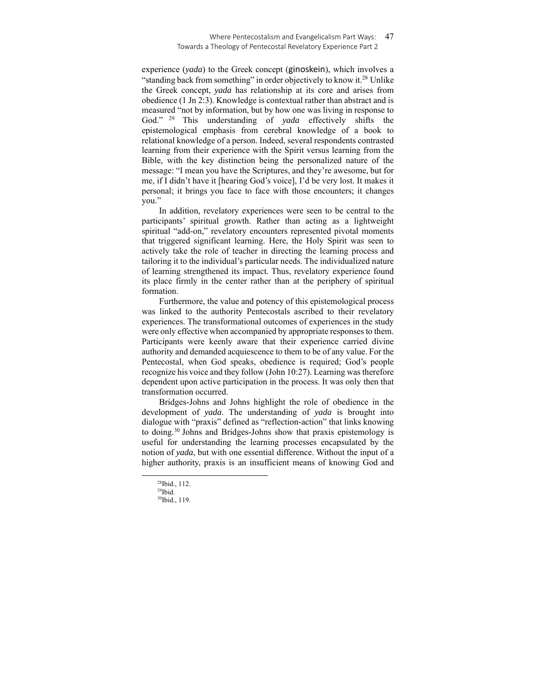#### Where Pentecostalism and Evangelicalism Part Ways: 47 Towards a Theology of Pentecostal Revelatory Experience Part 2

experience (*yada*) to the Greek concept (ginoskein), which involves a "standing back from something" in order objectively to know it.<sup>28</sup> Unlike the Greek concept, *yada* has relationship at its core and arises from obedience (1 Jn 2:3). Knowledge is contextual rather than abstract and is measured "not by information, but by how one was living in response to God." 29 This understanding of *yada* effectively shifts the epistemological emphasis from cerebral knowledge of a book to relational knowledge of a person. Indeed, several respondents contrasted learning from their experience with the Spirit versus learning from the Bible, with the key distinction being the personalized nature of the message: "I mean you have the Scriptures, and they're awesome, but for me, if I didn't have it [hearing God's voice], I'd be very lost. It makes it personal; it brings you face to face with those encounters; it changes you."

In addition, revelatory experiences were seen to be central to the participants' spiritual growth. Rather than acting as a lightweight spiritual "add-on," revelatory encounters represented pivotal moments that triggered significant learning. Here, the Holy Spirit was seen to actively take the role of teacher in directing the learning process and tailoring it to the individual's particular needs. The individualized nature of learning strengthened its impact. Thus, revelatory experience found its place firmly in the center rather than at the periphery of spiritual formation.

Furthermore, the value and potency of this epistemological process was linked to the authority Pentecostals ascribed to their revelatory experiences. The transformational outcomes of experiences in the study were only effective when accompanied by appropriate responses to them. Participants were keenly aware that their experience carried divine authority and demanded acquiescence to them to be of any value. For the Pentecostal, when God speaks, obedience is required; God's people recognize his voice and they follow (John 10:27). Learning was therefore dependent upon active participation in the process. It was only then that transformation occurred.

Bridges-Johns and Johns highlight the role of obedience in the development of *yada*. The understanding of *yada* is brought into dialogue with "praxis" defined as "reflection-action" that links knowing to doing.30 Johns and Bridges-Johns show that praxis epistemology is useful for understanding the learning processes encapsulated by the notion of *yada*, but with one essential difference. Without the input of a higher authority, praxis is an insufficient means of knowing God and

<sup>28</sup>Ibid., 112.

 $29$ Ibid.

<sup>30</sup>Ibid., 119.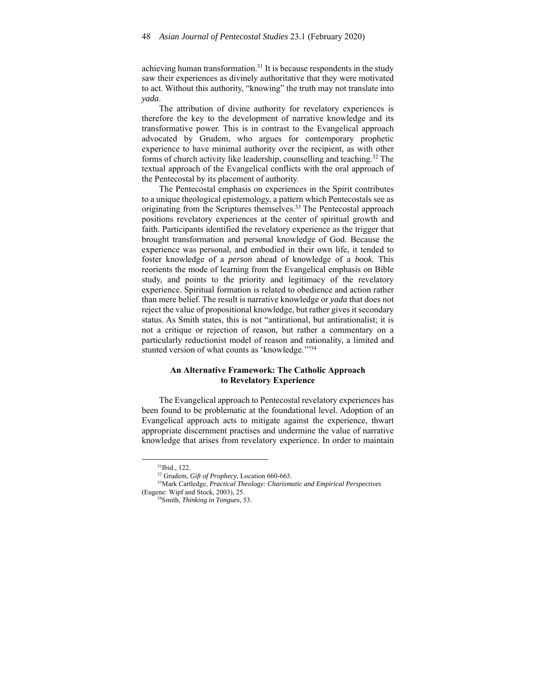achieving human transformation.31 It is because respondents in the study saw their experiences as divinely authoritative that they were motivated to act. Without this authority, "knowing" the truth may not translate into *yada*.

The attribution of divine authority for revelatory experiences is therefore the key to the development of narrative knowledge and its transformative power. This is in contrast to the Evangelical approach advocated by Grudem, who argues for contemporary prophetic experience to have minimal authority over the recipient, as with other forms of church activity like leadership, counselling and teaching.32 The textual approach of the Evangelical conflicts with the oral approach of the Pentecostal by its placement of authority.

The Pentecostal emphasis on experiences in the Spirit contributes to a unique theological epistemology, a pattern which Pentecostals see as originating from the Scriptures themselves.<sup>33</sup> The Pentecostal approach positions revelatory experiences at the center of spiritual growth and faith. Participants identified the revelatory experience as the trigger that brought transformation and personal knowledge of God. Because the experience was personal, and embodied in their own life, it tended to foster knowledge of a *person* ahead of knowledge of a *book.* This reorients the mode of learning from the Evangelical emphasis on Bible study, and points to the priority and legitimacy of the revelatory experience. Spiritual formation is related to obedience and action rather than mere belief. The result is narrative knowledge or *yada* that does not reject the value of propositional knowledge, but rather gives it secondary status. As Smith states, this is not "antirational, but antirationalist; it is not a critique or rejection of reason, but rather a commentary on a particularly reductionist model of reason and rationality, a limited and stunted version of what counts as 'knowledge."<sup>34</sup>

# **An Alternative Framework: The Catholic Approach to Revelatory Experience**

The Evangelical approach to Pentecostal revelatory experiences has been found to be problematic at the foundational level. Adoption of an Evangelical approach acts to mitigate against the experience, thwart appropriate discernment practises and undermine the value of narrative knowledge that arises from revelatory experience. In order to maintain

<sup>31</sup>Ibid., 122.

<sup>32</sup> Grudem, *Gift of Prophecy,* Location 660-663. 33Mark Cartledge, *Practical Theology: Charismatic and Empirical Perspectives* (Eugene: Wipf and Stock, 2003), 25. 34Smith, *Thinking in Tongues*, 53.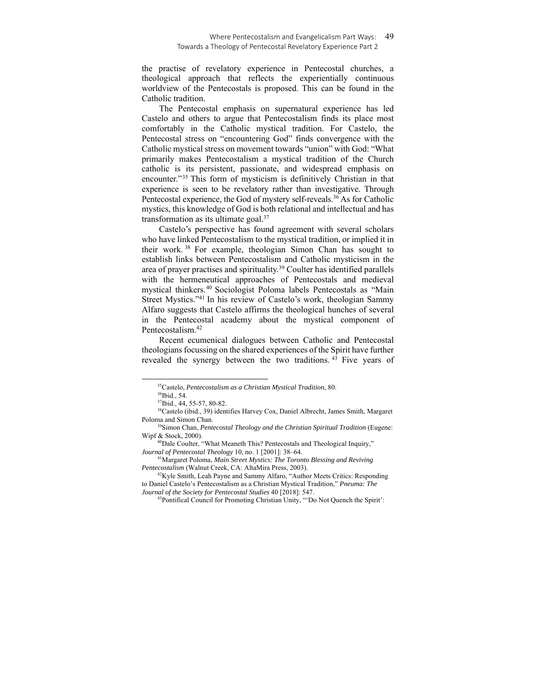the practise of revelatory experience in Pentecostal churches, a theological approach that reflects the experientially continuous worldview of the Pentecostals is proposed. This can be found in the Catholic tradition.

The Pentecostal emphasis on supernatural experience has led Castelo and others to argue that Pentecostalism finds its place most comfortably in the Catholic mystical tradition. For Castelo, the Pentecostal stress on "encountering God" finds convergence with the Catholic mystical stress on movement towards "union" with God: "What primarily makes Pentecostalism a mystical tradition of the Church catholic is its persistent, passionate, and widespread emphasis on encounter."35 This form of mysticism is definitively Christian in that experience is seen to be revelatory rather than investigative. Through Pentecostal experience, the God of mystery self-reveals.<sup>36</sup> As for Catholic mystics, this knowledge of God is both relational and intellectual and has transformation as its ultimate goal.37

Castelo's perspective has found agreement with several scholars who have linked Pentecostalism to the mystical tradition, or implied it in their work. 38 For example, theologian Simon Chan has sought to establish links between Pentecostalism and Catholic mysticism in the area of prayer practises and spirituality.39 Coulter has identified parallels with the hermeneutical approaches of Pentecostals and medieval mystical thinkers.40 Sociologist Poloma labels Pentecostals as "Main Street Mystics."41 In his review of Castelo's work, theologian Sammy Alfaro suggests that Castelo affirms the theological hunches of several in the Pentecostal academy about the mystical component of Pentecostalism.42

Recent ecumenical dialogues between Catholic and Pentecostal theologians focussing on the shared experiences of the Spirit have further revealed the synergy between the two traditions. 43 Five years of

38Castelo (ibid., 39) identifies Harvey Cox, Daniel Albrecht, James Smith, Margaret Poloma and Simon Chan. 39Simon Chan, *Pentecostal Theology and the Christian Spiritual Tradition* (Eugene:

<sup>&</sup>lt;sup>35</sup>Castelo, *Pentecostalism as a Christian Mystical Tradition*, 80. <sup>36</sup>Ibid., 54.

<sup>37</sup>Ibid., 44, 55-57, 80-82.

Wipf & Stock, 2000).<br><sup>40</sup>Dale Coulter, "What Meaneth This? Pentecostals and Theological Inquiry,"

*Journal of Pentecostal Theology* 10, no. 1 [2001]: 38–64.<br><sup>41</sup>Margaret Poloma, *Main Street Mystics: The Toronto Blessing and Reviving* 

*Pentecostalism* (Walnut Creek, CA: AltaMira Press, 2003).<br><sup>42</sup>Kyle Smith, Leah Payne and Sammy Alfaro, "Author Meets Critics: Responding

to Daniel Castelo's Pentecostalism as a Christian Mystical Tradition," *Pneuma: The* 

<sup>&</sup>lt;sup>43</sup>Pontifical Council for Promoting Christian Unity, "'Do Not Quench the Spirit':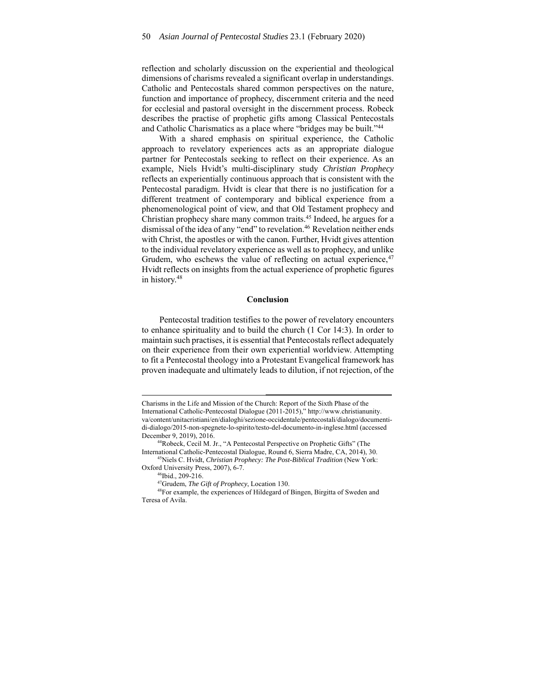reflection and scholarly discussion on the experiential and theological dimensions of charisms revealed a significant overlap in understandings. Catholic and Pentecostals shared common perspectives on the nature, function and importance of prophecy, discernment criteria and the need for ecclesial and pastoral oversight in the discernment process. Robeck describes the practise of prophetic gifts among Classical Pentecostals and Catholic Charismatics as a place where "bridges may be built."44

With a shared emphasis on spiritual experience, the Catholic approach to revelatory experiences acts as an appropriate dialogue partner for Pentecostals seeking to reflect on their experience. As an example, Niels Hvidt's multi-disciplinary study *Christian Prophecy* reflects an experientially continuous approach that is consistent with the Pentecostal paradigm. Hvidt is clear that there is no justification for a different treatment of contemporary and biblical experience from a phenomenological point of view, and that Old Testament prophecy and Christian prophecy share many common traits.<sup>45</sup> Indeed, he argues for a dismissal of the idea of any "end" to revelation.<sup>46</sup> Revelation neither ends with Christ, the apostles or with the canon. Further, Hvidt gives attention to the individual revelatory experience as well as to prophecy, and unlike Grudem, who eschews the value of reflecting on actual experience,  $47$ Hvidt reflects on insights from the actual experience of prophetic figures in history.48

#### **Conclusion**

Pentecostal tradition testifies to the power of revelatory encounters to enhance spirituality and to build the church (1 Cor 14:3). In order to maintain such practises, it is essential that Pentecostals reflect adequately on their experience from their own experiential worldview. Attempting to fit a Pentecostal theology into a Protestant Evangelical framework has proven inadequate and ultimately leads to dilution, if not rejection, of the

Charisms in the Life and Mission of the Church: Report of the Sixth Phase of the International Catholic-Pentecostal Dialogue (2011-2015)," http://www.christianunity. va/content/unitacristiani/en/dialoghi/sezione-occidentale/pentecostali/dialogo/documentidi-dialogo/2015-non-spegnete-lo-spirito/testo-del-documento-in-inglese.html (accessed December 9, 2019), 2016. 44Robeck, Cecil M. Jr., "A Pentecostal Perspective on Prophetic Gifts" (The

International Catholic-Pentecostal Dialogue, Round 6, Sierra Madre, CA, 2014), 30. 45Niels C. Hvidt, *Christian Prophecy: The Post-Biblical Tradition* (New York: Oxford University Press, 2007), 6-7.<br><sup>46</sup>Ibid., 209-216.<br><sup>47</sup>Grudem, *The Gift of Prophecy*, Location 130.

<sup>&</sup>lt;sup>48</sup>For example, the experiences of Hildegard of Bingen, Birgitta of Sweden and Teresa of Avila.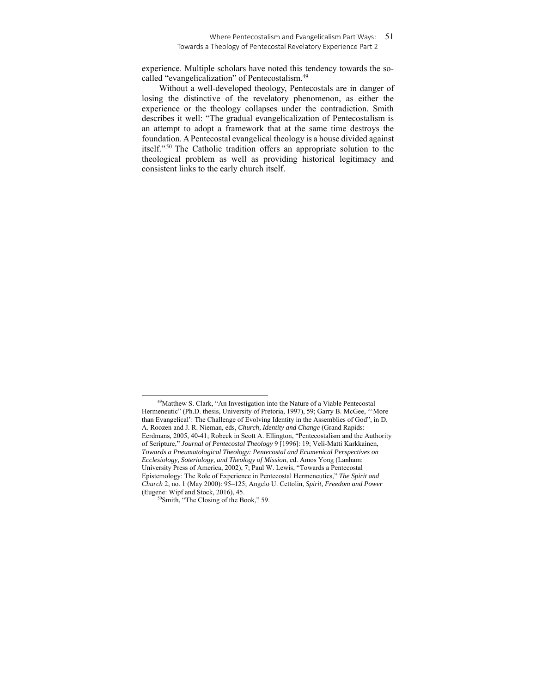### Where Pentecostalism and Evangelicalism Part Ways: 51 Towards a Theology of Pentecostal Revelatory Experience Part 2

experience. Multiple scholars have noted this tendency towards the socalled "evangelicalization" of Pentecostalism.49

Without a well-developed theology, Pentecostals are in danger of losing the distinctive of the revelatory phenomenon, as either the experience or the theology collapses under the contradiction. Smith describes it well: "The gradual evangelicalization of Pentecostalism is an attempt to adopt a framework that at the same time destroys the foundation. A Pentecostal evangelical theology is a house divided against itself." 50 The Catholic tradition offers an appropriate solution to the theological problem as well as providing historical legitimacy and consistent links to the early church itself.

<sup>49</sup>Matthew S. Clark, "An Investigation into the Nature of a Viable Pentecostal Hermeneutic" (Ph.D. thesis, University of Pretoria, 1997), 59; Garry B. McGee, "'More than Evangelical': The Challenge of Evolving Identity in the Assemblies of God", in D. A. Roozen and J. R. Nieman, eds, *Church, Identity and Change* (Grand Rapids: Eerdmans, 2005, 40-41; Robeck in Scott A. Ellington, "Pentecostalism and the Authority of Scripture," *Journal of Pentecostal Theology* 9 [1996]: 19; Veli-Matti Karkkainen, *Towards a Pneumatological Theology: Pentecostal and Ecumenical Perspectives on Ecclesiology, Soteriology, and Theology of Mission*, ed. Amos Yong (Lanham: University Press of America, 2002), 7; Paul W. Lewis, "Towards a Pentecostal Epistemology: The Role of Experience in Pentecostal Hermeneutics," *The Spirit and Church* 2, no. 1 (May 2000): 95–125; Angelo U. Cettolin, *Spirit, Freedom and Power*

 $^{50}$ Smith, "The Closing of the Book," 59.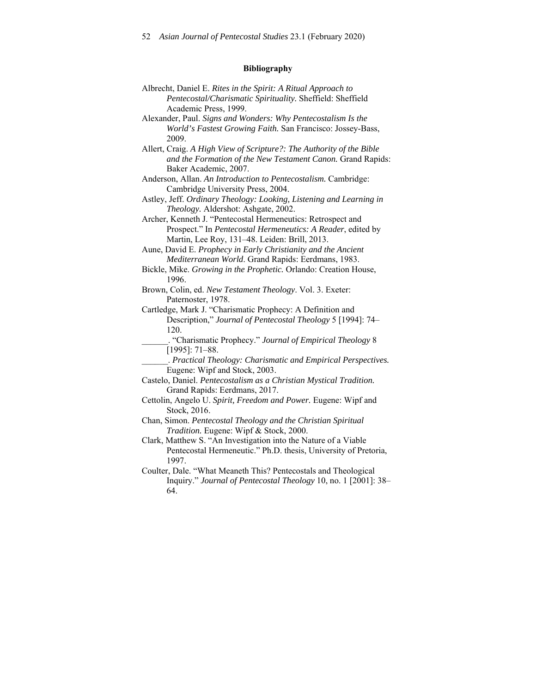# **Bibliography**

| Albrecht, Daniel E. Rites in the Spirit: A Ritual Approach to        |
|----------------------------------------------------------------------|
| Pentecostal/Charismatic Spirituality. Sheffield: Sheffield           |
| Academic Press, 1999.                                                |
| Alexander, Paul. Signs and Wonders: Why Pentecostalism Is the        |
| World's Fastest Growing Faith. San Francisco: Jossey-Bass,           |
| 2009.                                                                |
| Allert, Craig. A High View of Scripture?: The Authority of the Bible |
| and the Formation of the New Testament Canon. Grand Rapids:          |
| Baker Academic, 2007.                                                |
| Anderson, Allan. An Introduction to Pentecostalism. Cambridge:       |
| Cambridge University Press, 2004.                                    |
| Astley, Jeff. Ordinary Theology: Looking, Listening and Learning in  |
| Theology. Aldershot: Ashgate, 2002.                                  |
| Archer, Kenneth J. "Pentecostal Hermeneutics: Retrospect and         |
| Prospect." In Pentecostal Hermeneutics: A Reader, edited by          |
| Martin, Lee Roy, 131-48. Leiden: Brill, 2013.                        |
| Aune, David E. Prophecy in Early Christianity and the Ancient        |
| Mediterranean World. Grand Rapids: Eerdmans, 1983.                   |
| Bickle, Mike. Growing in the Prophetic. Orlando: Creation House,     |
| 1996.                                                                |
| Brown, Colin, ed. New Testament Theology. Vol. 3. Exeter:            |
| Paternoster, 1978.                                                   |
| Cartledge, Mark J. "Charismatic Prophecy: A Definition and           |
| Description," Journal of Pentecostal Theology 5 [1994]: 74-          |
| 120.                                                                 |
| . "Charismatic Prophecy." Journal of Empirical Theology 8            |
| $[1995]: 71-88.$                                                     |
| . Practical Theology: Charismatic and Empirical Perspectives.        |
| Eugene: Wipf and Stock, 2003.                                        |
| Castelo, Daniel. Pentecostalism as a Christian Mystical Tradition.   |
| Grand Rapids: Eerdmans, 2017.                                        |
| Cettolin, Angelo U. Spirit, Freedom and Power. Eugene: Wipf and      |
| Stock, 2016.                                                         |
| Chan, Simon. Pentecostal Theology and the Christian Spiritual        |
| Tradition. Eugene: Wipf & Stock, 2000.                               |
| Clark, Matthew S. "An Investigation into the Nature of a Viable      |
| Pentecostal Hermeneutic." Ph.D. thesis, University of Pretoria,      |
| 1997.                                                                |
| Coulter, Dale. "What Meaneth This? Pentecostals and Theological      |
| Inquiry." Journal of Pentecostal Theology 10, no. 1 [2001]: 38-      |

64.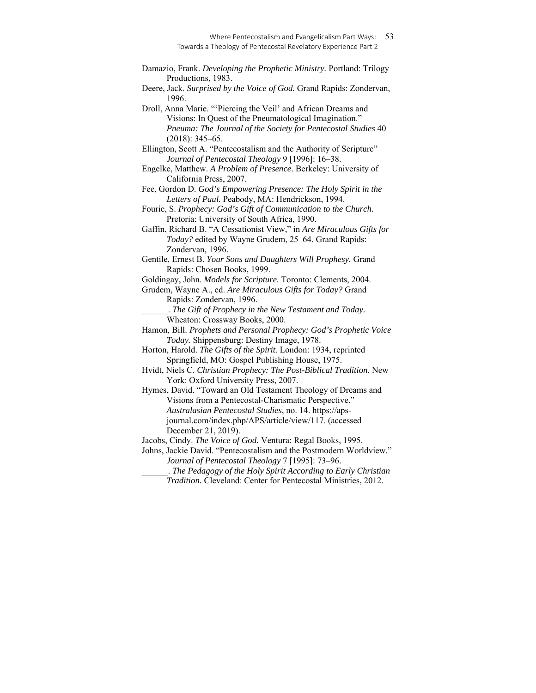Damazio, Frank. *Developing the Prophetic Ministry.* Portland: Trilogy Productions, 1983.

Deere, Jack. *Surprised by the Voice of God.* Grand Rapids: Zondervan, 1996.

Droll, Anna Marie. "'Piercing the Veil' and African Dreams and Visions: In Quest of the Pneumatological Imagination." *Pneuma: The Journal of the Society for Pentecostal Studies* 40 (2018): 345–65.

Ellington, Scott A. "Pentecostalism and the Authority of Scripture" *Journal of Pentecostal Theology* 9 [1996]: 16–38.

Engelke, Matthew. *A Problem of Presence*. Berkeley: University of California Press, 2007.

Fee, Gordon D. *God's Empowering Presence: The Holy Spirit in the Letters of Paul.* Peabody, MA: Hendrickson, 1994.

Fourie, S. *Prophecy: God's Gift of Communication to the Church.* Pretoria: University of South Africa, 1990.

Gaffin, Richard B. "A Cessationist View," in *Are Miraculous Gifts for Today?* edited by Wayne Grudem, 25–64. Grand Rapids: Zondervan, 1996.

Gentile, Ernest B. *Your Sons and Daughters Will Prophesy.* Grand Rapids: Chosen Books, 1999.

Goldingay, John. *Models for Scripture.* Toronto: Clements, 2004.

Grudem, Wayne A., ed. *Are Miraculous Gifts for Today?* Grand Rapids: Zondervan, 1996.

\_\_\_\_\_\_. *The Gift of Prophecy in the New Testament and Today.*  Wheaton: Crossway Books, 2000.

Hamon, Bill. *Prophets and Personal Prophecy: God's Prophetic Voice Today.* Shippensburg: Destiny Image, 1978.

Horton, Harold. *The Gifts of the Spirit.* London: 1934, reprinted Springfield, MO: Gospel Publishing House, 1975.

Hvidt, Niels C. *Christian Prophecy: The Post-Biblical Tradition.* New York: Oxford University Press, 2007.

Hymes, David. "Toward an Old Testament Theology of Dreams and Visions from a Pentecostal-Charismatic Perspective." *Australasian Pentecostal Studies*, no. 14. https://apsjournal.com/index.php/APS/article/view/117. (accessed December 21, 2019).

Jacobs, Cindy. *The Voice of God.* Ventura: Regal Books, 1995.

Johns, Jackie David. "Pentecostalism and the Postmodern Worldview." *Journal of Pentecostal Theology* 7 [1995]: 73–96.

\_\_\_\_\_\_. *The Pedagogy of the Holy Spirit According to Early Christian Tradition.* Cleveland: Center for Pentecostal Ministries, 2012.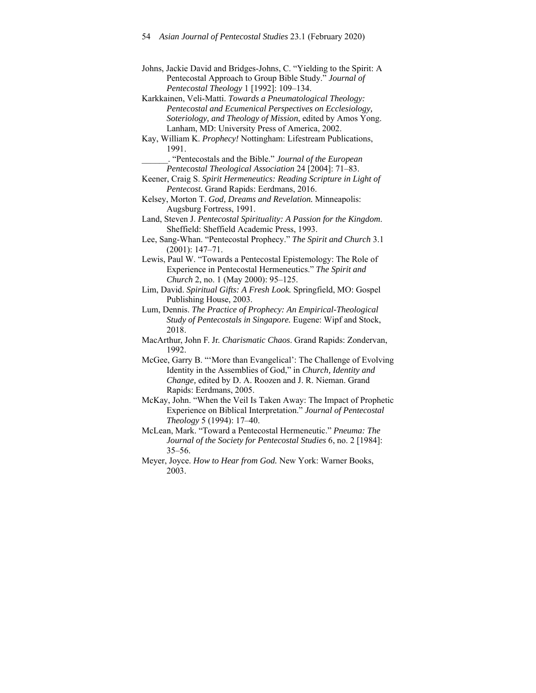- Karkkainen, Veli-Matti. *Towards a Pneumatological Theology: Pentecostal and Ecumenical Perspectives on Ecclesiology, Soteriology, and Theology of Mission*, edited by Amos Yong. Lanham, MD: University Press of America, 2002.
- Kay, William K. *Prophecy!* Nottingham: Lifestream Publications, 1991.
	- \_\_\_\_\_\_. "Pentecostals and the Bible." *Journal of the European Pentecostal Theological Association* 24 [2004]: 71–83.
- Keener, Craig S. *Spirit Hermeneutics: Reading Scripture in Light of Pentecost.* Grand Rapids: Eerdmans, 2016.
- Kelsey, Morton T. *God, Dreams and Revelation.* Minneapolis: Augsburg Fortress, 1991.
- Land, Steven J. *Pentecostal Spirituality: A Passion for the Kingdom*. Sheffield: Sheffield Academic Press, 1993.
- Lee, Sang-Whan. "Pentecostal Prophecy." *The Spirit and Church* 3.1 (2001): 147–71.
- Lewis, Paul W. "Towards a Pentecostal Epistemology: The Role of Experience in Pentecostal Hermeneutics." *The Spirit and Church* 2, no. 1 (May 2000): 95–125.
- Lim, David. *Spiritual Gifts: A Fresh Look.* Springfield, MO: Gospel Publishing House, 2003.
- Lum, Dennis. *The Practice of Prophecy: An Empirical-Theological Study of Pentecostals in Singapore.* Eugene: Wipf and Stock, 2018.
- MacArthur, John F. Jr. *Charismatic Chaos*. Grand Rapids: Zondervan, 1992.
- McGee, Garry B. "'More than Evangelical': The Challenge of Evolving Identity in the Assemblies of God," in *Church, Identity and Change,* edited by D. A. Roozen and J. R. Nieman. Grand Rapids: Eerdmans, 2005.
- McKay, John. "When the Veil Is Taken Away: The Impact of Prophetic Experience on Biblical Interpretation." *Journal of Pentecostal Theology* 5 (1994): 17–40.
- McLean, Mark. "Toward a Pentecostal Hermeneutic." *Pneuma: The Journal of the Society for Pentecostal Studies* 6, no. 2 [1984]: 35–56.
- Meyer, Joyce. *How to Hear from God.* New York: Warner Books, 2003.

Johns, Jackie David and Bridges-Johns, C. "Yielding to the Spirit: A Pentecostal Approach to Group Bible Study." *Journal of Pentecostal Theology* 1 [1992]: 109–134.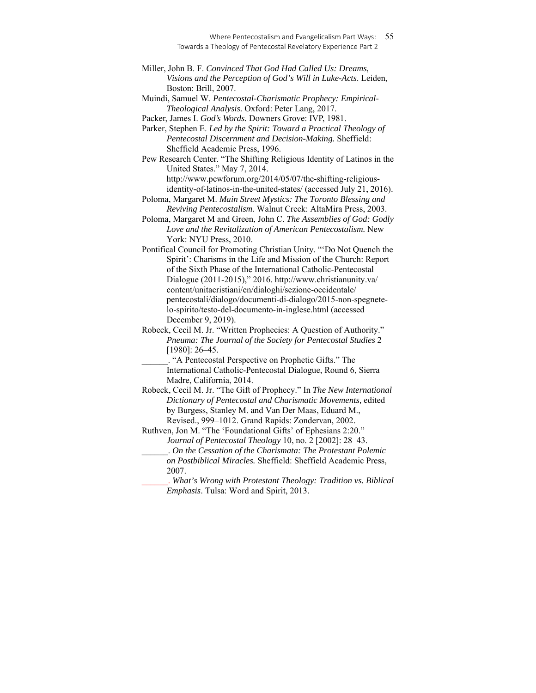Muindi, Samuel W. *Pentecostal-Charismatic Prophecy: Empirical-Theological Analysis.* Oxford: Peter Lang, 2017.

Packer, James I. *God's Words.* Downers Grove: IVP, 1981.

Parker, Stephen E. *Led by the Spirit: Toward a Practical Theology of Pentecostal Discernment and Decision-Making.* Sheffield: Sheffield Academic Press, 1996.

Pew Research Center. "The Shifting Religious Identity of Latinos in the United States." May 7, 2014. http://www.pewforum.org/2014/05/07/the-shifting-religious-

identity-of-latinos-in-the-united-states/ (accessed July 21, 2016). Poloma, Margaret M. *Main Street Mystics: The Toronto Blessing and* 

*Reviving Pentecostalism.* Walnut Creek: AltaMira Press, 2003. Poloma, Margaret M and Green, John C. *The Assemblies of God: Godly Love and the Revitalization of American Pentecostalism.* New York: NYU Press, 2010.

Pontifical Council for Promoting Christian Unity. "'Do Not Quench the Spirit': Charisms in the Life and Mission of the Church: Report of the Sixth Phase of the International Catholic-Pentecostal Dialogue (2011-2015)," 2016. http://www.christianunity.va/ content/unitacristiani/en/dialoghi/sezione-occidentale/ pentecostali/dialogo/documenti-di-dialogo/2015-non-spegnetelo-spirito/testo-del-documento-in-inglese.html (accessed December 9, 2019).

Robeck, Cecil M. Jr. "Written Prophecies: A Question of Authority." *Pneuma: The Journal of the Society for Pentecostal Studies* 2 [1980]: 26–45.

\_\_\_\_\_\_. "A Pentecostal Perspective on Prophetic Gifts." The International Catholic-Pentecostal Dialogue, Round 6, Sierra Madre, California, 2014.

Robeck, Cecil M. Jr. "The Gift of Prophecy." In *The New International Dictionary of Pentecostal and Charismatic Movements,* edited by Burgess, Stanley M. and Van Der Maas, Eduard M., Revised., 999–1012. Grand Rapids: Zondervan, 2002.

Ruthven, Jon M. "The 'Foundational Gifts' of Ephesians 2:20." *Journal of Pentecostal Theology* 10, no. 2 [2002]: 28–43.

\_\_\_\_\_\_. *On the Cessation of the Charismata: The Protestant Polemic on Postbiblical Miracles.* Sheffield: Sheffield Academic Press, 2007.

\_\_\_\_\_\_. *What's Wrong with Protestant Theology: Tradition vs. Biblical Emphasis*. Tulsa: Word and Spirit, 2013.

Miller, John B. F. *Convinced That God Had Called Us: Dreams, Visions and the Perception of God's Will in Luke-Acts*. Leiden, Boston: Brill, 2007.